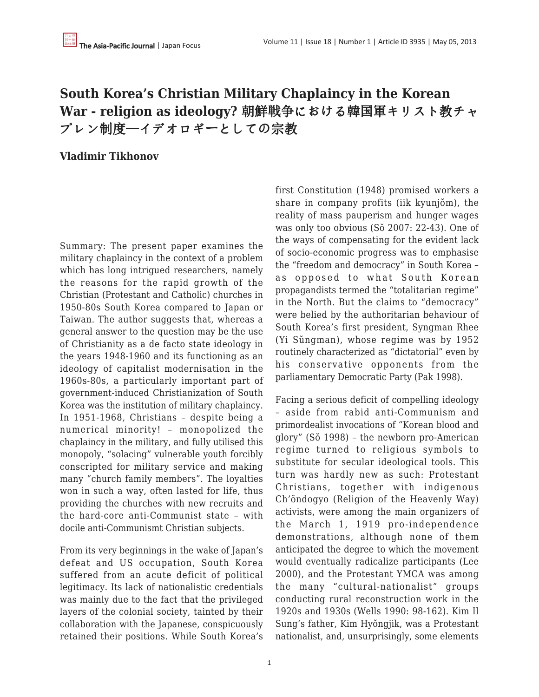## **South Korea's Christian Military Chaplaincy in the Korean War - religion as ideology?** 朝鮮戦争における韓国軍キリスト教チャ プレン制度—イデオロギーとしての宗教

## **Vladimir Tikhonov**

Summary: The present paper examines the military chaplaincy in the context of a problem which has long intrigued researchers, namely the reasons for the rapid growth of the Christian (Protestant and Catholic) churches in 1950-80s South Korea compared to Japan or Taiwan. The author suggests that, whereas a general answer to the question may be the use of Christianity as a de facto state ideology in the years 1948-1960 and its functioning as an ideology of capitalist modernisation in the 1960s-80s, a particularly important part of government-induced Christianization of South Korea was the institution of military chaplaincy. In 1951-1968, Christians – despite being a numerical minority! – monopolized the chaplaincy in the military, and fully utilised this monopoly, "solacing" vulnerable youth forcibly conscripted for military service and making many "church family members". The loyalties won in such a way, often lasted for life, thus providing the churches with new recruits and the hard-core anti-Communist state – with docile anti-Communismt Christian subjects.

From its very beginnings in the wake of Japan's defeat and US occupation, South Korea suffered from an acute deficit of political legitimacy. Its lack of nationalistic credentials was mainly due to the fact that the privileged layers of the colonial society, tainted by their collaboration with the Japanese, conspicuously retained their positions. While South Korea's first Constitution (1948) promised workers a share in company profits (iik kyunjŏm), the reality of mass pauperism and hunger wages was only too obvious (Sŏ 2007: 22-43). One of the ways of compensating for the evident lack of socio-economic progress was to emphasise the "freedom and democracy" in South Korea – as opposed to what South Korean propagandists termed the "totalitarian regime" in the North. But the claims to "democracy" were belied by the authoritarian behaviour of South Korea's first president, Syngman Rhee (Yi Sŭngman), whose regime was by 1952 routinely characterized as "dictatorial" even by his conservative opponents from the parliamentary Democratic Party (Pak 1998).

Facing a serious deficit of compelling ideology – aside from rabid anti-Communism and primordealist invocations of "Korean blood and glory" (Sŏ 1998) – the newborn pro-American regime turned to religious symbols to substitute for secular ideological tools. This turn was hardly new as such: Protestant Christians, together with indigenous Ch'ŏndogyo (Religion of the Heavenly Way) activists, were among the main organizers of the March 1, 1919 pro-independence demonstrations, although none of them anticipated the degree to which the movement would eventually radicalize participants (Lee 2000), and the Protestant YMCA was among the many "cultural-nationalist" groups conducting rural reconstruction work in the 1920s and 1930s (Wells 1990: 98-162). Kim Il Sung's father, Kim Hyŏngjik, was a Protestant nationalist, and, unsurprisingly, some elements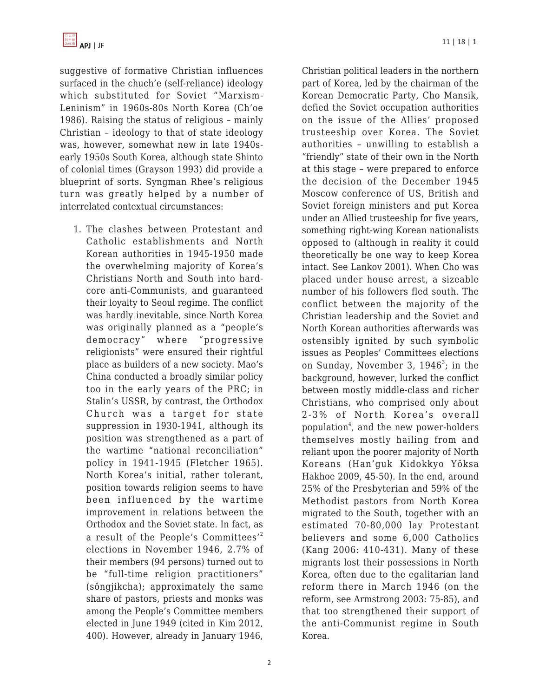

suggestive of formative Christian influences surfaced in the chuch'e (self-reliance) ideology which substituted for Soviet "Marxism-Leninism" in 1960s-80s North Korea (Ch'oe 1986). Raising the status of religious – mainly Christian – ideology to that of state ideology was, however, somewhat new in late 1940searly 1950s South Korea, although state Shinto of colonial times (Grayson 1993) did provide a blueprint of sorts. Syngman Rhee's religious turn was greatly helped by a number of interrelated contextual circumstances:

1. The clashes between Protestant and Catholic establishments and North Korean authorities in 1945-1950 made the overwhelming majority of Korea's Christians North and South into hardcore anti-Communists, and guaranteed their loyalty to Seoul regime. The conflict was hardly inevitable, since North Korea was originally planned as a "people's democracy" where "progressive religionists" were ensured their rightful place as builders of a new society. Mao's China conducted a broadly similar policy too in the early years of the PRC; in Stalin's USSR, by contrast, the Orthodox Church was a target for state suppression in 1930-1941, although its position was strengthened as a part of the wartime "national reconciliation" policy in 1941-1945 (Fletcher 1965). North Korea's initial, rather tolerant, position towards religion seems to have been influenced by the wartime improvement in relations between the Orthodox and the Soviet state. In fact, as a result of the People's Committees'<sup>2</sup> elections in November 1946, 2.7% of their members (94 persons) turned out to be "full-time religion practitioners" (sŏngjikcha); approximately the same share of pastors, priests and monks was among the People's Committee members elected in June 1949 (cited in Kim 2012, 400). However, already in January 1946,

Christian political leaders in the northern

part of Korea, led by the chairman of the Korean Democratic Party, Cho Mansik, defied the Soviet occupation authorities on the issue of the Allies' proposed trusteeship over Korea. The Soviet authorities – unwilling to establish a "friendly" state of their own in the North at this stage – were prepared to enforce the decision of the December 1945 Moscow conference of US, British and Soviet foreign ministers and put Korea under an Allied trusteeship for five years, something right-wing Korean nationalists opposed to (although in reality it could theoretically be one way to keep Korea intact. See Lankov 2001). When Cho was placed under house arrest, a sizeable number of his followers fled south. The conflict between the majority of the Christian leadership and the Soviet and North Korean authorities afterwards was ostensibly ignited by such symbolic issues as Peoples' Committees elections on Sunday, November 3, 1946<sup>3</sup>; in the background, however, lurked the conflict between mostly middle-class and richer Christians, who comprised only about 2-3% of North Korea's overall population<sup>4</sup>, and the new power-holders themselves mostly hailing from and reliant upon the poorer majority of North Koreans (Han'guk Kidokkyo Yŏksa Hakhoe 2009, 45-50). In the end, around 25% of the Presbyterian and 59% of the Methodist pastors from North Korea migrated to the South, together with an estimated 70-80,000 lay Protestant believers and some 6,000 Catholics (Kang 2006: 410-431). Many of these migrants lost their possessions in North Korea, often due to the egalitarian land reform there in March 1946 (on the reform, see Armstrong 2003: 75-85), and that too strengthened their support of the anti-Communist regime in South Korea.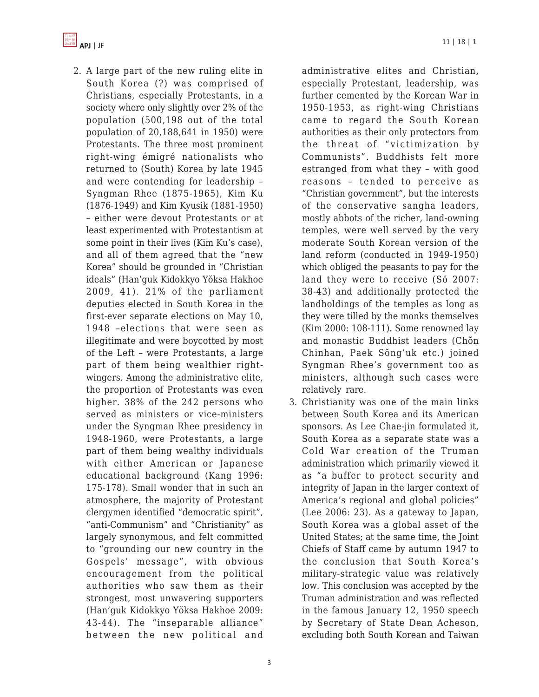

2. A large part of the new ruling elite in South Korea (?) was comprised of Christians, especially Protestants, in a society where only slightly over 2% of the population (500,198 out of the total population of 20,188,641 in 1950) were Protestants. The three most prominent right-wing émigré nationalists who returned to (South) Korea by late 1945 and were contending for leadership – Syngman Rhee (1875-1965), Kim Ku (1876-1949) and Kim Kyusik (1881-1950) – either were devout Protestants or at least experimented with Protestantism at some point in their lives (Kim Ku's case), and all of them agreed that the "new Korea" should be grounded in "Christian ideals" (Han'guk Kidokkyo Yŏksa Hakhoe 2009, 41). 21% of the parliament deputies elected in South Korea in the first-ever separate elections on May 10, 1948 –elections that were seen as illegitimate and were boycotted by most of the Left – were Protestants, a large part of them being wealthier rightwingers. Among the administrative elite, the proportion of Protestants was even higher. 38% of the 242 persons who served as ministers or vice-ministers under the Syngman Rhee presidency in 1948-1960, were Protestants, a large part of them being wealthy individuals with either American or Japanese educational background (Kang 1996: 175-178). Small wonder that in such an atmosphere, the majority of Protestant clergymen identified "democratic spirit", "anti-Communism" and "Christianity" as largely synonymous, and felt committed to "grounding our new country in the Gospels' message", with obvious encouragement from the political authorities who saw them as their strongest, most unwavering supporters (Han'guk Kidokkyo Yŏksa Hakhoe 2009: 43-44). The "inseparable alliance" between the new political and

administrative elites and Christian, especially Protestant, leadership, was further cemented by the Korean War in 1950-1953, as right-wing Christians came to regard the South Korean authorities as their only protectors from the threat of "victimization by Communists". Buddhists felt more estranged from what they – with good reasons – tended to perceive as "Christian government", but the interests of the conservative sangha leaders, mostly abbots of the richer, land-owning temples, were well served by the very moderate South Korean version of the land reform (conducted in 1949-1950) which obliged the peasants to pay for the land they were to receive (Sŏ 2007: 38-43) and additionally protected the landholdings of the temples as long as they were tilled by the monks themselves (Kim 2000: 108-111). Some renowned lay and monastic Buddhist leaders (Chŏn Chinhan, Paek Sŏng'uk etc.) joined Syngman Rhee's government too as ministers, although such cases were relatively rare.

3. Christianity was one of the main links between South Korea and its American sponsors. As Lee Chae-jin formulated it, South Korea as a separate state was a Cold War creation of the Truman administration which primarily viewed it as "a buffer to protect security and integrity of Japan in the larger context of America's regional and global policies" (Lee 2006: 23). As a gateway to Japan, South Korea was a global asset of the United States; at the same time, the Joint Chiefs of Staff came by autumn 1947 to the conclusion that South Korea's military-strategic value was relatively low. This conclusion was accepted by the Truman administration and was reflected in the famous January 12, 1950 speech by Secretary of State Dean Acheson, excluding both South Korean and Taiwan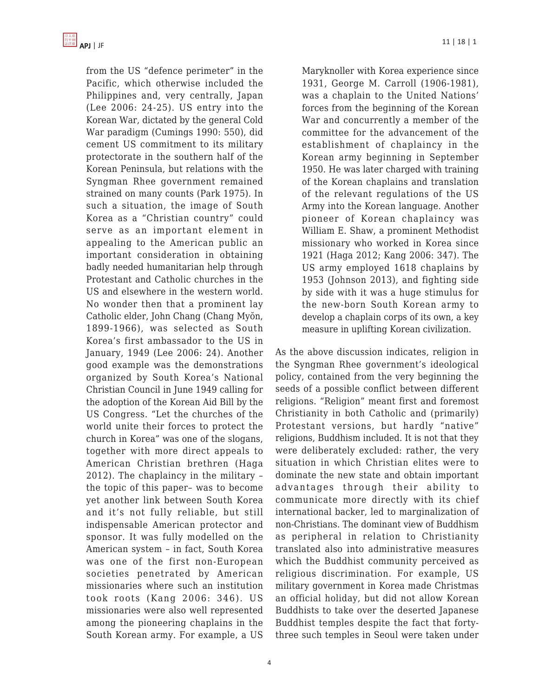from the US "defence perimeter" in the Pacific, which otherwise included the Philippines and, very centrally, Japan (Lee 2006: 24-25). US entry into the Korean War, dictated by the general Cold War paradigm (Cumings 1990: 550), did cement US commitment to its military protectorate in the southern half of the Korean Peninsula, but relations with the Syngman Rhee government remained strained on many counts (Park 1975). In such a situation, the image of South Korea as a "Christian country" could serve as an important element in appealing to the American public an important consideration in obtaining badly needed humanitarian help through Protestant and Catholic churches in the US and elsewhere in the western world. No wonder then that a prominent lay Catholic elder, John Chang (Chang Myŏn, 1899-1966), was selected as South Korea's first ambassador to the US in January, 1949 (Lee 2006: 24). Another good example was the demonstrations organized by South Korea's National Christian Council in June 1949 calling for the adoption of the Korean Aid Bill by the US Congress. "Let the churches of the world unite their forces to protect the church in Korea" was one of the slogans, together with more direct appeals to American Christian brethren (Haga 2012). The chaplaincy in the military – the topic of this paper– was to become yet another link between South Korea and it's not fully reliable, but still indispensable American protector and sponsor. It was fully modelled on the American system – in fact, South Korea was one of the first non-European societies penetrated by American missionaries where such an institution took roots (Kang 2006: 346). US missionaries were also well represented among the pioneering chaplains in the South Korean army. For example, a US Maryknoller with Korea experience since 1931, George M. Carroll (1906-1981), was a chaplain to the United Nations' forces from the beginning of the Korean War and concurrently a member of the committee for the advancement of the establishment of chaplaincy in the Korean army beginning in September 1950. He was later charged with training of the Korean chaplains and translation of the relevant regulations of the US Army into the Korean language. Another pioneer of Korean chaplaincy was William E. Shaw, a prominent Methodist missionary who worked in Korea since 1921 (Haga 2012; Kang 2006: 347). The US army employed 1618 chaplains by 1953 (Johnson 2013), and fighting side by side with it was a huge stimulus for the new-born South Korean army to develop a chaplain corps of its own, a key measure in uplifting Korean civilization.

As the above discussion indicates, religion in the Syngman Rhee government's ideological policy, contained from the very beginning the seeds of a possible conflict between different religions. "Religion" meant first and foremost Christianity in both Catholic and (primarily) Protestant versions, but hardly "native" religions, Buddhism included. It is not that they were deliberately excluded: rather, the very situation in which Christian elites were to dominate the new state and obtain important advantages through their ability to communicate more directly with its chief international backer, led to marginalization of non-Christians. The dominant view of Buddhism as peripheral in relation to Christianity translated also into administrative measures which the Buddhist community perceived as religious discrimination. For example, US military government in Korea made Christmas an official holiday, but did not allow Korean Buddhists to take over the deserted Japanese Buddhist temples despite the fact that fortythree such temples in Seoul were taken under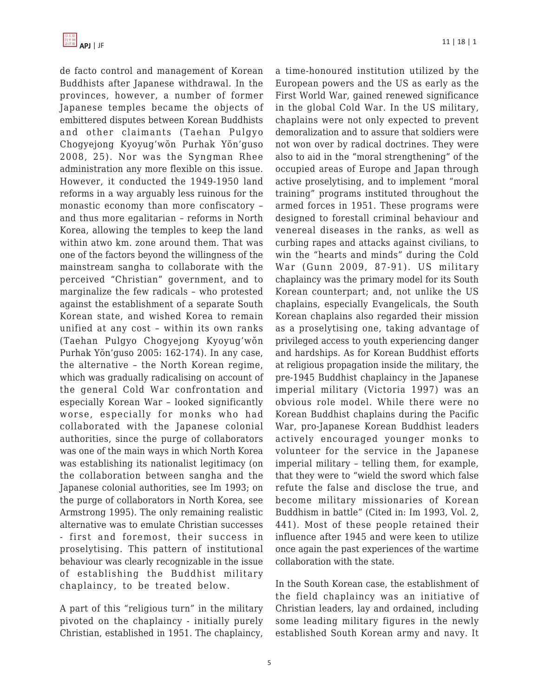de facto control and management of Korean Buddhists after Japanese withdrawal. In the provinces, however, a number of former Japanese temples became the objects of embittered disputes between Korean Buddhists and other claimants (Taehan Pulgyo Chogyejong Kyoyug'wŏn Purhak Yŏn'guso 2008, 25). Nor was the Syngman Rhee administration any more flexible on this issue. However, it conducted the 1949-1950 land reforms in a way arguably less ruinous for the monastic economy than more confiscatory – and thus more egalitarian – reforms in North Korea, allowing the temples to keep the land within atwo km. zone around them. That was one of the factors beyond the willingness of the mainstream sangha to collaborate with the perceived "Christian" government, and to marginalize the few radicals – who protested against the establishment of a separate South Korean state, and wished Korea to remain unified at any cost – within its own ranks (Taehan Pulgyo Chogyejong Kyoyug'wŏn Purhak Yŏn'guso 2005: 162-174). In any case, the alternative – the North Korean regime, which was gradually radicalising on account of the general Cold War confrontation and especially Korean War – looked significantly worse, especially for monks who had collaborated with the Japanese colonial authorities, since the purge of collaborators was one of the main ways in which North Korea was establishing its nationalist legitimacy (on the collaboration between sangha and the Japanese colonial authorities, see Im 1993; on the purge of collaborators in North Korea, see Armstrong 1995). The only remaining realistic alternative was to emulate Christian successes - first and foremost, their success in proselytising. This pattern of institutional behaviour was clearly recognizable in the issue of establishing the Buddhist military chaplaincy, to be treated below.

A part of this "religious turn" in the military pivoted on the chaplaincy - initially purely Christian, established in 1951. The chaplaincy,

a time-honoured institution utilized by the European powers and the US as early as the First World War, gained renewed significance in the global Cold War. In the US military, chaplains were not only expected to prevent demoralization and to assure that soldiers were not won over by radical doctrines. They were also to aid in the "moral strengthening" of the occupied areas of Europe and Japan through active proselytising, and to implement "moral training" programs instituted throughout the armed forces in 1951. These programs were designed to forestall criminal behaviour and venereal diseases in the ranks, as well as curbing rapes and attacks against civilians, to win the "hearts and minds" during the Cold War (Gunn 2009, 87-91). US military chaplaincy was the primary model for its South Korean counterpart; and, not unlike the US chaplains, especially Evangelicals, the South Korean chaplains also regarded their mission as a proselytising one, taking advantage of privileged access to youth experiencing danger and hardships. As for Korean Buddhist efforts at religious propagation inside the military, the pre-1945 Buddhist chaplaincy in the Japanese imperial military (Victoria 1997) was an obvious role model. While there were no Korean Buddhist chaplains during the Pacific War, pro-Japanese Korean Buddhist leaders actively encouraged younger monks to volunteer for the service in the Japanese imperial military – telling them, for example, that they were to "wield the sword which false refute the false and disclose the true, and become military missionaries of Korean Buddhism in battle" (Cited in: Im 1993, Vol. 2, 441). Most of these people retained their influence after 1945 and were keen to utilize once again the past experiences of the wartime collaboration with the state.

In the South Korean case, the establishment of the field chaplaincy was an initiative of Christian leaders, lay and ordained, including some leading military figures in the newly established South Korean army and navy. It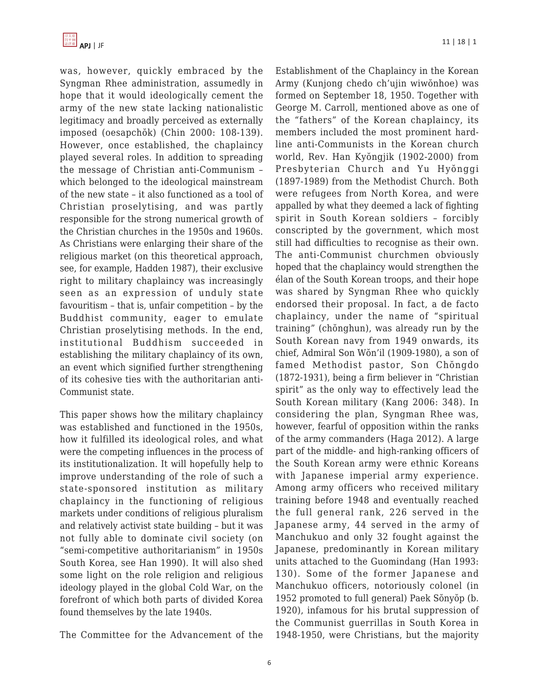was, however, quickly embraced by the Syngman Rhee administration, assumedly in hope that it would ideologically cement the army of the new state lacking nationalistic legitimacy and broadly perceived as externally imposed (oesapchŏk) (Chin 2000: 108-139). However, once established, the chaplaincy played several roles. In addition to spreading the message of Christian anti-Communism – which belonged to the ideological mainstream of the new state – it also functioned as a tool of Christian proselytising, and was partly responsible for the strong numerical growth of the Christian churches in the 1950s and 1960s. As Christians were enlarging their share of the religious market (on this theoretical approach, see, for example, Hadden 1987), their exclusive right to military chaplaincy was increasingly seen as an expression of unduly state favouritism – that is, unfair competition – by the Buddhist community, eager to emulate Christian proselytising methods. In the end, institutional Buddhism succeeded in establishing the military chaplaincy of its own, an event which signified further strengthening of its cohesive ties with the authoritarian anti-Communist state.

This paper shows how the military chaplaincy was established and functioned in the 1950s, how it fulfilled its ideological roles, and what were the competing influences in the process of its institutionalization. It will hopefully help to improve understanding of the role of such a state-sponsored institution as military chaplaincy in the functioning of religious markets under conditions of religious pluralism and relatively activist state building – but it was not fully able to dominate civil society (on "semi-competitive authoritarianism" in 1950s South Korea, see Han 1990). It will also shed some light on the role religion and religious ideology played in the global Cold War, on the forefront of which both parts of divided Korea found themselves by the late 1940s.

The Committee for the Advancement of the

Establishment of the Chaplaincy in the Korean Army (Kunjong chedo ch'ujin wiwŏnhoe) was formed on September 18, 1950. Together with George M. Carroll, mentioned above as one of the "fathers" of the Korean chaplaincy, its members included the most prominent hardline anti-Communists in the Korean church world, Rev. Han Kyŏngjik (1902-2000) from Presbyterian Church and Yu Hyŏnggi (1897-1989) from the Methodist Church. Both were refugees from North Korea, and were appalled by what they deemed a lack of fighting spirit in South Korean soldiers – forcibly conscripted by the government, which most still had difficulties to recognise as their own. The anti-Communist churchmen obviously hoped that the chaplaincy would strengthen the élan of the South Korean troops, and their hope was shared by Syngman Rhee who quickly endorsed their proposal. In fact, a de facto chaplaincy, under the name of "spiritual training" (chŏnghun), was already run by the South Korean navy from 1949 onwards, its chief, Admiral Son Wŏn'il (1909-1980), a son of famed Methodist pastor, Son Chŏngdo (1872-1931), being a firm believer in "Christian spirit" as the only way to effectively lead the South Korean military (Kang 2006: 348). In considering the plan, Syngman Rhee was, however, fearful of opposition within the ranks of the army commanders (Haga 2012). A large part of the middle- and high-ranking officers of the South Korean army were ethnic Koreans with Japanese imperial army experience. Among army officers who received military training before 1948 and eventually reached the full general rank, 226 served in the Japanese army, 44 served in the army of Manchukuo and only 32 fought against the Japanese, predominantly in Korean military units attached to the Guomindang (Han 1993: 130). Some of the former Japanese and Manchukuo officers, notoriously colonel (in 1952 promoted to full general) Paek Sŏnyŏp (b. 1920), infamous for his brutal suppression of the Communist guerrillas in South Korea in 1948-1950, were Christians, but the majority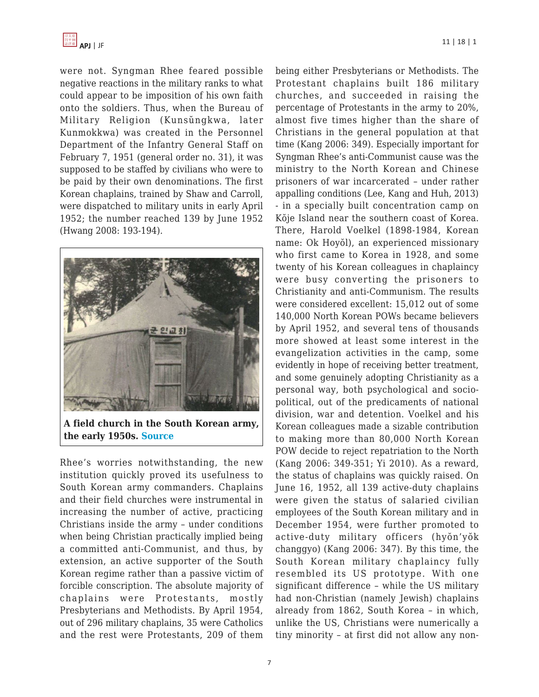

were not. Syngman Rhee feared possible negative reactions in the military ranks to what could appear to be imposition of his own faith onto the soldiers. Thus, when the Bureau of Military Religion (Kunsŭngkwa, later Kunmokkwa) was created in the Personnel Department of the Infantry General Staff on February 7, 1951 (general order no. 31), it was supposed to be staffed by civilians who were to be paid by their own denominations. The first Korean chaplains, trained by Shaw and Carroll, were dispatched to military units in early April 1952; the number reached 139 by June 1952 (Hwang 2008: 193-194).



**A field church in the South Korean army, the early 1950s. [Source](https://apjjf.org/admin/site_manage/details/ki.warmemo.co.kr)**

Rhee's worries notwithstanding, the new institution quickly proved its usefulness to South Korean army commanders. Chaplains and their field churches were instrumental in increasing the number of active, practicing Christians inside the army – under conditions when being Christian practically implied being a committed anti-Communist, and thus, by extension, an active supporter of the South Korean regime rather than a passive victim of forcible conscription. The absolute majority of chaplains were Protestants, mostly Presbyterians and Methodists. By April 1954, out of 296 military chaplains, 35 were Catholics and the rest were Protestants, 209 of them being either Presbyterians or Methodists. The Protestant chaplains built 186 military churches, and succeeded in raising the percentage of Protestants in the army to 20%, almost five times higher than the share of Christians in the general population at that time (Kang 2006: 349). Especially important for Syngman Rhee's anti-Communist cause was the ministry to the North Korean and Chinese prisoners of war incarcerated – under rather appalling conditions (Lee, Kang and Huh, 2013) - in a specially built concentration camp on Kŏje Island near the southern coast of Korea. There, Harold Voelkel (1898-1984, Korean name: Ok Hoyŏl), an experienced missionary who first came to Korea in 1928, and some twenty of his Korean colleagues in chaplaincy were busy converting the prisoners to Christianity and anti-Communism. The results were considered excellent: 15,012 out of some 140,000 North Korean POWs became believers by April 1952, and several tens of thousands more showed at least some interest in the evangelization activities in the camp, some evidently in hope of receiving better treatment, and some genuinely adopting Christianity as a personal way, both psychological and sociopolitical, out of the predicaments of national division, war and detention. Voelkel and his Korean colleagues made a sizable contribution to making more than 80,000 North Korean POW decide to reject repatriation to the North (Kang 2006: 349-351; Yi 2010). As a reward, the status of chaplains was quickly raised. On June 16, 1952, all 139 active-duty chaplains were given the status of salaried civilian employees of the South Korean military and in December 1954, were further promoted to active-duty military officers (hyŏn'yŏk changgyo) (Kang 2006: 347). By this time, the South Korean military chaplaincy fully resembled its US prototype. With one significant difference – while the US military had non-Christian (namely Jewish) chaplains already from 1862, South Korea – in which, unlike the US, Christians were numerically a tiny minority – at first did not allow any non-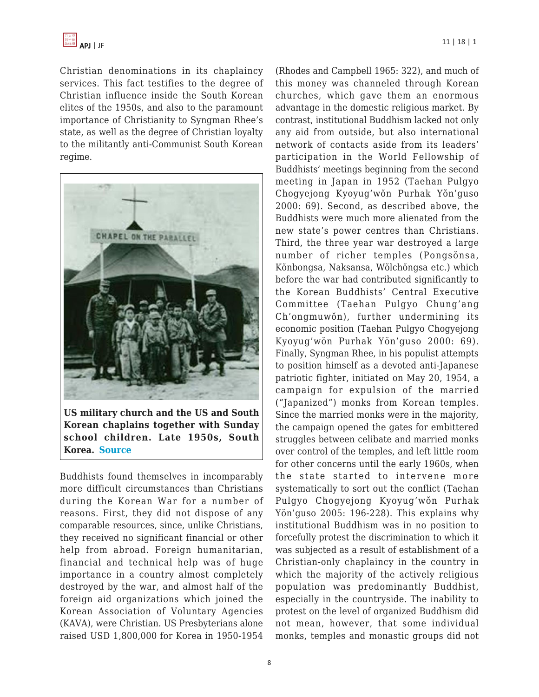

Christian denominations in its chaplaincy services. This fact testifies to the degree of Christian influence inside the South Korean elites of the 1950s, and also to the paramount importance of Christianity to Syngman Rhee's state, as well as the degree of Christian loyalty to the militantly anti-Communist South Korean regime.



**US military church and the US and South Korean chaplains together with Sunday school children. Late 1950s, South Korea. [Source](https://apjjf.org/admin/site_manage/details/ki.warmemo.co.kr)**

Buddhists found themselves in incomparably more difficult circumstances than Christians during the Korean War for a number of reasons. First, they did not dispose of any comparable resources, since, unlike Christians, they received no significant financial or other help from abroad. Foreign humanitarian, financial and technical help was of huge importance in a country almost completely destroyed by the war, and almost half of the foreign aid organizations which joined the Korean Association of Voluntary Agencies (KAVA), were Christian. US Presbyterians alone raised USD 1,800,000 for Korea in 1950-1954 (Rhodes and Campbell 1965: 322), and much of this money was channeled through Korean churches, which gave them an enormous advantage in the domestic religious market. By contrast, institutional Buddhism lacked not only any aid from outside, but also international network of contacts aside from its leaders' participation in the World Fellowship of Buddhists' meetings beginning from the second meeting in Japan in 1952 (Taehan Pulgyo Chogyejong Kyoyug'wŏn Purhak Yŏn'guso 2000: 69). Second, as described above, the Buddhists were much more alienated from the new state's power centres than Christians. Third, the three year war destroyed a large number of richer temples (Pongsŏnsa, Kŏnbongsa, Naksansa, Wŏlchŏngsa etc.) which before the war had contributed significantly to the Korean Buddhists' Central Executive Committee (Taehan Pulgyo Chung'ang Ch'ongmuwŏn), further undermining its economic position (Taehan Pulgyo Chogyejong Kyoyug'wŏn Purhak Yŏn'guso 2000: 69). Finally, Syngman Rhee, in his populist attempts to position himself as a devoted anti-Japanese patriotic fighter, initiated on May 20, 1954, a campaign for expulsion of the married ("Japanized") monks from Korean temples. Since the married monks were in the majority, the campaign opened the gates for embittered struggles between celibate and married monks over control of the temples, and left little room for other concerns until the early 1960s, when the state started to intervene more systematically to sort out the conflict (Taehan Pulgyo Chogyejong Kyoyug'wŏn Purhak Yŏn'guso 2005: 196-228). This explains why institutional Buddhism was in no position to forcefully protest the discrimination to which it was subjected as a result of establishment of a Christian-only chaplaincy in the country in which the majority of the actively religious population was predominantly Buddhist, especially in the countryside. The inability to protest on the level of organized Buddhism did not mean, however, that some individual monks, temples and monastic groups did not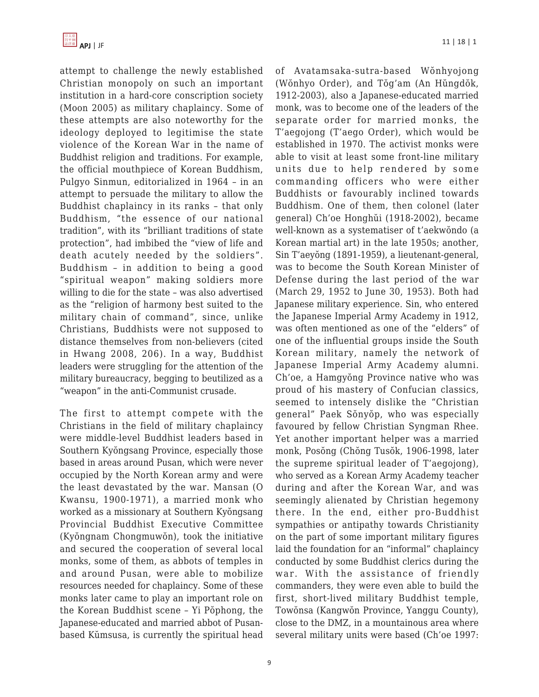

attempt to challenge the newly established Christian monopoly on such an important institution in a hard-core conscription society (Moon 2005) as military chaplaincy. Some of these attempts are also noteworthy for the ideology deployed to legitimise the state violence of the Korean War in the name of Buddhist religion and traditions. For example, the official mouthpiece of Korean Buddhism, Pulgyo Sinmun, editorialized in 1964 – in an attempt to persuade the military to allow the Buddhist chaplaincy in its ranks – that only Buddhism, "the essence of our national tradition", with its "brilliant traditions of state protection", had imbibed the "view of life and death acutely needed by the soldiers". Buddhism – in addition to being a good "spiritual weapon" making soldiers more willing to die for the state – was also advertised as the "religion of harmony best suited to the military chain of command", since, unlike Christians, Buddhists were not supposed to distance themselves from non-believers (cited in Hwang 2008, 206). In a way, Buddhist leaders were struggling for the attention of the military bureaucracy, begging to beutilized as a "weapon" in the anti-Communist crusade.

The first to attempt compete with the Christians in the field of military chaplaincy were middle-level Buddhist leaders based in Southern Kyŏngsang Province, especially those based in areas around Pusan, which were never occupied by the North Korean army and were the least devastated by the war. Mansan (O Kwansu, 1900-1971), a married monk who worked as a missionary at Southern Kyŏngsang Provincial Buddhist Executive Committee (Kyŏngnam Chongmuwŏn), took the initiative and secured the cooperation of several local monks, some of them, as abbots of temples in and around Pusan, were able to mobilize resources needed for chaplaincy. Some of these monks later came to play an important role on the Korean Buddhist scene – Yi Pŏphong, the Japanese-educated and married abbot of Pusanbased Kŭmsusa, is currently the spiritual head of Avatamsaka-sutra-based Wŏnhyojong (Wŏnhyo Order), and Tŏg'am (An Hŭngdŏk, 1912-2003), also a Japanese-educated married monk, was to become one of the leaders of the separate order for married monks, the T'aegojong (T'aego Order), which would be established in 1970. The activist monks were able to visit at least some front-line military units due to help rendered by some commanding officers who were either Buddhists or favourably inclined towards Buddhism. One of them, then colonel (later general) Ch'oe Honghŭi (1918-2002), became well-known as a systematiser of t'aekwŏndo (a Korean martial art) in the late 1950s; another, Sin T'aeyŏng (1891-1959), a lieutenant-general, was to become the South Korean Minister of Defense during the last period of the war (March 29, 1952 to June 30, 1953). Both had Japanese military experience. Sin, who entered the Japanese Imperial Army Academy in 1912, was often mentioned as one of the "elders" of one of the influential groups inside the South Korean military, namely the network of Japanese Imperial Army Academy alumni. Ch'oe, a Hamgyŏng Province native who was proud of his mastery of Confucian classics, seemed to intensely dislike the "Christian general" Paek Sŏnyŏp, who was especially favoured by fellow Christian Syngman Rhee. Yet another important helper was a married monk, Posŏng (Chŏng Tusŏk, 1906-1998, later the supreme spiritual leader of T'aegojong), who served as a Korean Army Academy teacher during and after the Korean War, and was seemingly alienated by Christian hegemony there. In the end, either pro-Buddhist sympathies or antipathy towards Christianity on the part of some important military figures laid the foundation for an "informal" chaplaincy conducted by some Buddhist clerics during the war. With the assistance of friendly commanders, they were even able to build the first, short-lived military Buddhist temple, Towŏnsa (Kangwŏn Province, Yanggu County), close to the DMZ, in a mountainous area where several military units were based (Ch'oe 1997: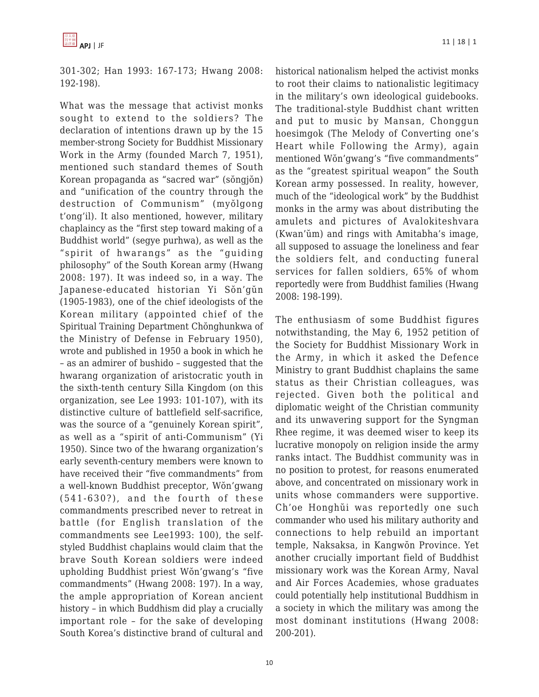301-302; Han 1993: 167-173; Hwang 2008: 192-198).

What was the message that activist monks sought to extend to the soldiers? The declaration of intentions drawn up by the 15 member-strong Society for Buddhist Missionary Work in the Army (founded March 7, 1951), mentioned such standard themes of South Korean propaganda as "sacred war" (sŏngjŏn) and "unification of the country through the destruction of Communism" (myŏlgong t'ong'il). It also mentioned, however, military chaplaincy as the "first step toward making of a Buddhist world" (segye purhwa), as well as the "spirit of hwarangs" as the "guiding philosophy" of the South Korean army (Hwang 2008: 197). It was indeed so, in a way. The Japanese-educated historian Yi Sŏn'gŭn (1905-1983), one of the chief ideologists of the Korean military (appointed chief of the Spiritual Training Department Chŏnghunkwa of the Ministry of Defense in February 1950), wrote and published in 1950 a book in which he – as an admirer of bushido – suggested that the hwarang organization of aristocratic youth in the sixth-tenth century Silla Kingdom (on this organization, see Lee 1993: 101-107), with its distinctive culture of battlefield self-sacrifice, was the source of a "genuinely Korean spirit", as well as a "spirit of anti-Communism" (Yi 1950). Since two of the hwarang organization's early seventh-century members were known to have received their "five commandments" from a well-known Buddhist preceptor, Wŏn'gwang (541-630?), and the fourth of these commandments prescribed never to retreat in battle (for English translation of the commandments see Lee1993: 100), the selfstyled Buddhist chaplains would claim that the brave South Korean soldiers were indeed upholding Buddhist priest Wŏn'gwang's "five commandments" (Hwang 2008: 197). In a way, the ample appropriation of Korean ancient history – in which Buddhism did play a crucially important role – for the sake of developing South Korea's distinctive brand of cultural and

historical nationalism helped the activist monks to root their claims to nationalistic legitimacy in the military's own ideological guidebooks. The traditional-style Buddhist chant written and put to music by Mansan, Chonggun hoesimgok (The Melody of Converting one's Heart while Following the Army), again mentioned Wŏn'gwang's "five commandments" as the "greatest spiritual weapon" the South Korean army possessed. In reality, however, much of the "ideological work" by the Buddhist monks in the army was about distributing the amulets and pictures of Avalokiteshvara (Kwan'ŭm) and rings with Amitabha's image, all supposed to assuage the loneliness and fear the soldiers felt, and conducting funeral services for fallen soldiers, 65% of whom reportedly were from Buddhist families (Hwang 2008: 198-199).

The enthusiasm of some Buddhist figures notwithstanding, the May 6, 1952 petition of the Society for Buddhist Missionary Work in the Army, in which it asked the Defence Ministry to grant Buddhist chaplains the same status as their Christian colleagues, was rejected. Given both the political and diplomatic weight of the Christian community and its unwavering support for the Syngman Rhee regime, it was deemed wiser to keep its lucrative monopoly on religion inside the army ranks intact. The Buddhist community was in no position to protest, for reasons enumerated above, and concentrated on missionary work in units whose commanders were supportive. Ch'oe Honghŭi was reportedly one such commander who used his military authority and connections to help rebuild an important temple, Naksaksa, in Kangwŏn Province. Yet another crucially important field of Buddhist missionary work was the Korean Army, Naval and Air Forces Academies, whose graduates could potentially help institutional Buddhism in a society in which the military was among the most dominant institutions (Hwang 2008: 200-201).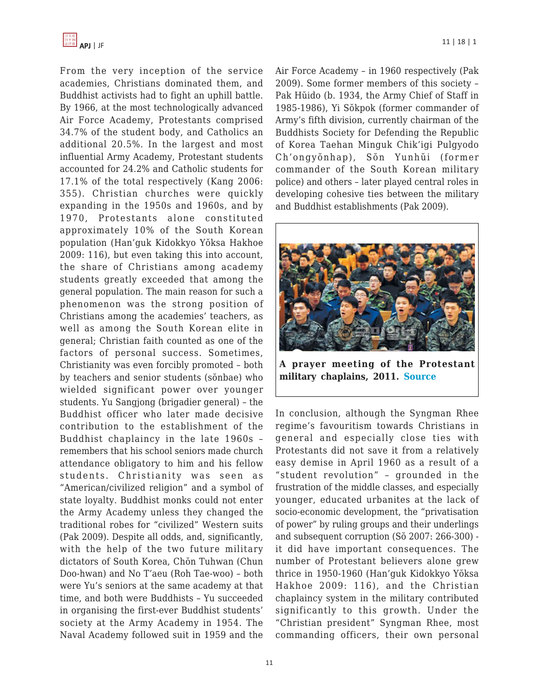

From the very inception of the service academies, Christians dominated them, and Buddhist activists had to fight an uphill battle. By 1966, at the most technologically advanced Air Force Academy, Protestants comprised 34.7% of the student body, and Catholics an additional 20.5%. In the largest and most influential Army Academy, Protestant students accounted for 24.2% and Catholic students for 17.1% of the total respectively (Kang 2006: 355). Christian churches were quickly expanding in the 1950s and 1960s, and by 1970, Protestants alone constituted approximately 10% of the South Korean population (Han'guk Kidokkyo Yŏksa Hakhoe 2009: 116), but even taking this into account, the share of Christians among academy students greatly exceeded that among the general population. The main reason for such a phenomenon was the strong position of Christians among the academies' teachers, as well as among the South Korean elite in general; Christian faith counted as one of the factors of personal success. Sometimes, Christianity was even forcibly promoted – both by teachers and senior students (sŏnbae) who wielded significant power over younger students. Yu Sangjong (brigadier general) – the Buddhist officer who later made decisive contribution to the establishment of the Buddhist chaplaincy in the late 1960s – remembers that his school seniors made church attendance obligatory to him and his fellow students. Christianity was seen as "American/civilized religion" and a symbol of state loyalty. Buddhist monks could not enter the Army Academy unless they changed the traditional robes for "civilized" Western suits (Pak 2009). Despite all odds, and, significantly, with the help of the two future military dictators of South Korea, Chŏn Tuhwan (Chun Doo-hwan) and No T'aeu (Roh Tae-woo) – both were Yu's seniors at the same academy at that time, and both were Buddhists – Yu succeeded in organising the first-ever Buddhist students' society at the Army Academy in 1954. The Naval Academy followed suit in 1959 and the Air Force Academy – in 1960 respectively (Pak 2009). Some former members of this society – Pak Hŭido (b. 1934, the Army Chief of Staff in 1985-1986), Yi Sŏkpok (former commander of Army's fifth division, currently chairman of the Buddhists Society for Defending the Republic of Korea Taehan Minguk Chik'igi Pulgyodo Ch'ongyŏnhap), Sŏn Yunhŭi (former commander of the South Korean military police) and others – later played central roles in developing cohesive ties between the military and Buddhist establishments (Pak 2009).



**A prayer meeting of the Protestant military chaplains, 2011. [Source](http://pann.news.nate.com/info/250538748)**

In conclusion, although the Syngman Rhee regime's favouritism towards Christians in general and especially close ties with Protestants did not save it from a relatively easy demise in April 1960 as a result of a "student revolution" – grounded in the frustration of the middle classes, and especially younger, educated urbanites at the lack of socio-economic development, the "privatisation of power" by ruling groups and their underlings and subsequent corruption (Sŏ 2007: 266-300) it did have important consequences. The number of Protestant believers alone grew thrice in 1950-1960 (Han'guk Kidokkyo Yŏksa Hakhoe 2009: 116), and the Christian chaplaincy system in the military contributed significantly to this growth. Under the "Christian president" Syngman Rhee, most commanding officers, their own personal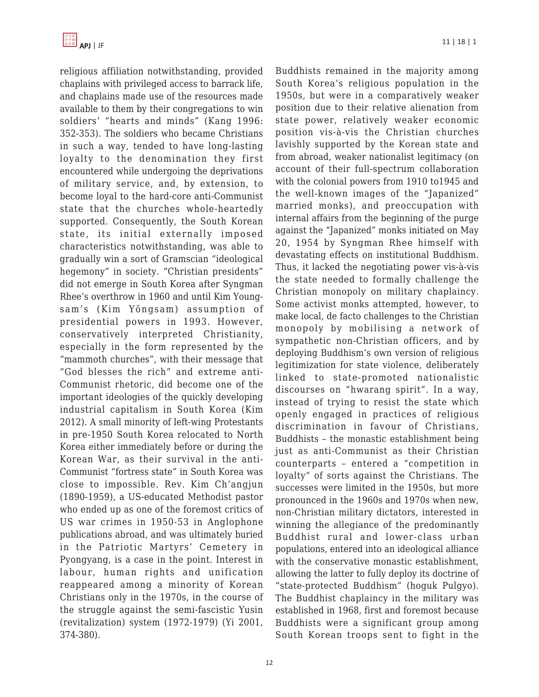religious affiliation notwithstanding, provided chaplains with privileged access to barrack life, and chaplains made use of the resources made available to them by their congregations to win soldiers' "hearts and minds" (Kang 1996: 352-353). The soldiers who became Christians in such a way, tended to have long-lasting loyalty to the denomination they first encountered while undergoing the deprivations of military service, and, by extension, to become loyal to the hard-core anti-Communist state that the churches whole-heartedly supported. Consequently, the South Korean state, its initial externally imposed characteristics notwithstanding, was able to gradually win a sort of Gramscian "ideological hegemony" in society. "Christian presidents" did not emerge in South Korea after Syngman Rhee's overthrow in 1960 and until Kim Youngsam's (Kim Yŏngsam) assumption of presidential powers in 1993. However, conservatively interpreted Christianity, especially in the form represented by the "mammoth churches", with their message that "God blesses the rich" and extreme anti-Communist rhetoric, did become one of the important ideologies of the quickly developing industrial capitalism in South Korea (Kim 2012). A small minority of left-wing Protestants in pre-1950 South Korea relocated to North Korea either immediately before or during the Korean War, as their survival in the anti-Communist "fortress state" in South Korea was close to impossible. Rev. Kim Ch'angjun (1890-1959), a US-educated Methodist pastor who ended up as one of the foremost critics of US war crimes in 1950-53 in Anglophone publications abroad, and was ultimately buried in the Patriotic Martyrs' Cemetery in Pyongyang, is a case in the point. Interest in labour, human rights and unification reappeared among a minority of Korean Christians only in the 1970s, in the course of the struggle against the semi-fascistic Yusin (revitalization) system (1972-1979) (Yi 2001, 374-380).

Buddhists remained in the majority among South Korea's religious population in the 1950s, but were in a comparatively weaker position due to their relative alienation from state power, relatively weaker economic position vis-à-vis the Christian churches lavishly supported by the Korean state and from abroad, weaker nationalist legitimacy (on account of their full-spectrum collaboration with the colonial powers from 1910 to1945 and the well-known images of the "Japanized" married monks), and preoccupation with internal affairs from the beginning of the purge against the "Japanized" monks initiated on May 20, 1954 by Syngman Rhee himself with devastating effects on institutional Buddhism. Thus, it lacked the negotiating power vis-à-vis the state needed to formally challenge the Christian monopoly on military chaplaincy. Some activist monks attempted, however, to make local, de facto challenges to the Christian monopoly by mobilising a network of sympathetic non-Christian officers, and by deploying Buddhism's own version of religious legitimization for state violence, deliberately linked to state-promoted nationalistic discourses on "hwarang spirit". In a way, instead of trying to resist the state which openly engaged in practices of religious discrimination in favour of Christians, Buddhists – the monastic establishment being just as anti-Communist as their Christian counterparts – entered a "competition in loyalty" of sorts against the Christians. The successes were limited in the 1950s, but more pronounced in the 1960s and 1970s when new, non-Christian military dictators, interested in winning the allegiance of the predominantly Buddhist rural and lower-class urban populations, entered into an ideological alliance with the conservative monastic establishment, allowing the latter to fully deploy its doctrine of "state-protected Buddhism" (hoguk Pulgyo). The Buddhist chaplaincy in the military was established in 1968, first and foremost because Buddhists were a significant group among South Korean troops sent to fight in the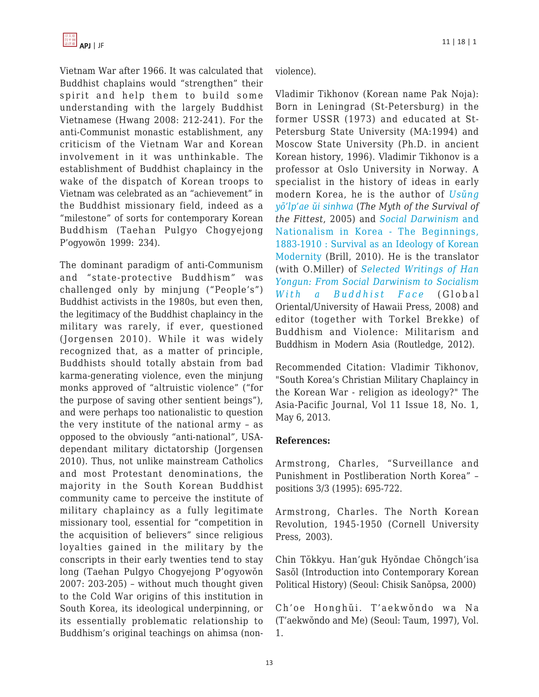Vietnam War after 1966. It was calculated that Buddhist chaplains would "strengthen" their spirit and help them to build some understanding with the largely Buddhist Vietnamese (Hwang 2008: 212-241). For the anti-Communist monastic establishment, any criticism of the Vietnam War and Korean involvement in it was unthinkable. The establishment of Buddhist chaplaincy in the wake of the dispatch of Korean troops to Vietnam was celebrated as an "achievement" in the Buddhist missionary field, indeed as a "milestone" of sorts for contemporary Korean Buddhism (Taehan Pulgyo Chogyejong P'ogyowŏn 1999: 234).

The dominant paradigm of anti-Communism and "state-protective Buddhism" was challenged only by minjung ("People's") Buddhist activists in the 1980s, but even then, the legitimacy of the Buddhist chaplaincy in the military was rarely, if ever, questioned (Jorgensen 2010). While it was widely recognized that, as a matter of principle, Buddhists should totally abstain from bad karma-generating violence, even the minjung monks approved of "altruistic violence" ("for the purpose of saving other sentient beings"), and were perhaps too nationalistic to question the very institute of the national army – as opposed to the obviously "anti-national", USAdependant military dictatorship (Jorgensen 2010). Thus, not unlike mainstream Catholics and most Protestant denominations, the majority in the South Korean Buddhist community came to perceive the institute of military chaplaincy as a fully legitimate missionary tool, essential for "competition in the acquisition of believers" since religious loyalties gained in the military by the conscripts in their early twenties tend to stay long (Taehan Pulgyo Chogyejong P'ogyowŏn 2007: 203-205) – without much thought given to the Cold War origins of this institution in South Korea, its ideological underpinning, or its essentially problematic relationship to Buddhism's original teachings on ahimsa (nonviolence).

Vladimir Tikhonov (Korean name Pak Noja): Born in Leningrad (St-Petersburg) in the former USSR (1973) and educated at St-Petersburg State University (MA:1994) and Moscow State University (Ph.D. in ancient Korean history, 1996). Vladimir Tikhonov is a professor at Oslo University in Norway. A specialist in the history of ideas in early modern Korea, he is the author of *[Usŭng](http://www.aladdin.co.kr/shop/wproduct.aspx?isbn=8984311529) [yō'lp'ae ŭi sinhwa](http://www.aladdin.co.kr/shop/wproduct.aspx?isbn=8984311529)* (*The Myth of the Survival of the Fittest*, 2005) and *[Social Darwinism](http://www.amazon.com/dp/9004185038/?tag=theasipacjo0b-20)* [and](http://www.amazon.com/dp/9004185038/?tag=theasipacjo0b-20) [Nationalism in Korea - The Beginnings,](http://www.amazon.com/dp/9004185038/?tag=theasipacjo0b-20) [1883-1910 : Survival as an Ideology of Korean](http://www.amazon.com/dp/9004185038/?tag=theasipacjo0b-20) [Modernity](http://www.amazon.com/dp/9004185038/?tag=theasipacjo0b-20) (Brill, 2010). He is the translator (with O.Miller) of *[Selected Writings of Han](http://www.amazon.com/dp/1905246471/?tag=theasipacjo0b-20) [Yongun: From Social Darwinism to Socialism](http://www.amazon.com/dp/1905246471/?tag=theasipacjo0b-20) [With a Buddhist Face](http://www.amazon.com/dp/1905246471/?tag=theasipacjo0b-20)* (Global Oriental/University of Hawaii Press, 2008) and editor (together with Torkel Brekke) of Buddhism and Violence: Militarism and Buddhism in Modern Asia (Routledge, 2012).

Recommended Citation: Vladimir Tikhonov, "South Korea's Christian Military Chaplaincy in the Korean War - religion as ideology?" The Asia-Pacific Journal, Vol 11 Issue 18, No. 1, May 6, 2013.

## **References:**

Armstrong, Charles, "Surveillance and Punishment in Postliberation North Korea" – positions 3/3 (1995): 695-722.

Armstrong, Charles. The North Korean Revolution, 1945-1950 (Cornell University Press, 2003).

Chin Tŏkkyu. Han'guk Hyŏndae Chŏngch'isa Sasŏl (Introduction into Contemporary Korean Political History) (Seoul: Chisik Sanŏpsa, 2000)

Ch'oe Honghŭi. T'aekwŏndo wa Na (T'aekwŏndo and Me) (Seoul: Taum, 1997), Vol. 1.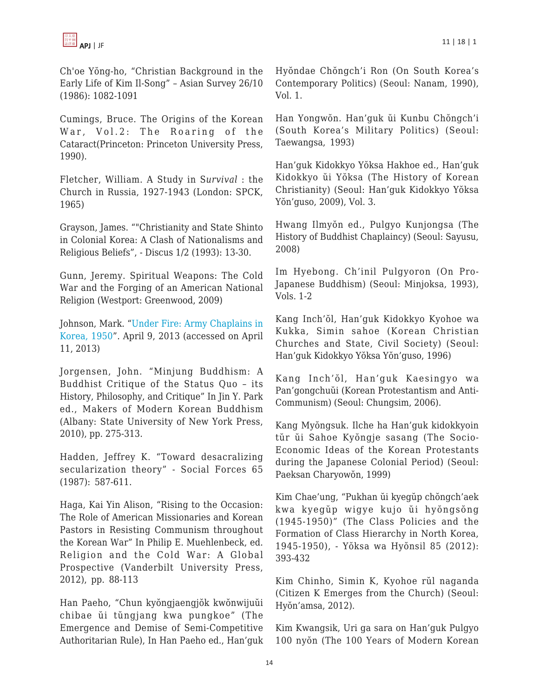Ch'oe Yŏng-ho, "Christian Background in the Early Life of Kim Il-Song" – Asian Survey 26/10 (1986): 1082-1091

Cumings, Bruce. The Origins of the Korean War, Vol.2: The Roaring of the Cataract(Princeton: Princeton University Press, 1990).

Fletcher, William. A Study in S*urvival* : the Church in Russia, 1927-1943 (London: SPCK, 1965)

Grayson, James. ""Christianity and State Shinto in Colonial Korea: A Clash of Nationalisms and Religious Beliefs", - Discus 1/2 (1993): 13-30.

Gunn, Jeremy. Spiritual Weapons: The Cold War and the Forging of an American National Religion (Westport: Greenwood, 2009)

Johnson, Mark. "[Under Fire: Army Chaplains in](http://www.army.mil/article/100572/Under_Fire__Army_Chaplains_in_Korea__1950/) [Korea, 1950](http://www.army.mil/article/100572/Under_Fire__Army_Chaplains_in_Korea__1950/)". April 9, 2013 (accessed on April 11, 2013)

Jorgensen, John. "Minjung Buddhism: A Buddhist Critique of the Status Quo – its History, Philosophy, and Critique" In Jin Y. Park ed., Makers of Modern Korean Buddhism (Albany: State University of New York Press, 2010), pp. 275-313.

Hadden, Jeffrey K. "Toward desacralizing secularization theory" - Social Forces 65 (1987): 587-611.

Haga, Kai Yin Alison, "Rising to the Occasion: The Role of American Missionaries and Korean Pastors in Resisting Communism throughout the Korean War" In Philip E. Muehlenbeck, ed. Religion and the Cold War: A Global Prospective (Vanderbilt University Press, 2012), pp. 88-113

Han Paeho, "Chun kyŏngjaengjŏk kwŏnwijuŭi chibae ŭi tŭngjang kwa pungkoe" (The Emergence and Demise of Semi-Competitive Authoritarian Rule), In Han Paeho ed., Han'guk Hyŏndae Chŏngch'i Ron (On South Korea's Contemporary Politics) (Seoul: Nanam, 1990), Vol. 1.

Han Yongwŏn. Han'guk ŭi Kunbu Chŏngch'i (South Korea's Military Politics) (Seoul: Taewangsa, 1993)

Han'guk Kidokkyo Yŏksa Hakhoe ed., Han'guk Kidokkyo ŭi Yŏksa (The History of Korean Christianity) (Seoul: Han'guk Kidokkyo Yŏksa Yŏn'guso, 2009), Vol. 3.

Hwang Ilmyŏn ed., Pulgyo Kunjongsa (The History of Buddhist Chaplaincy) (Seoul: Sayusu, 2008)

Im Hyebong. Ch'inil Pulgyoron (On Pro-Japanese Buddhism) (Seoul: Minjoksa, 1993), Vols. 1-2

Kang Inch'ŏl, Han'guk Kidokkyo Kyohoe wa Kukka, Simin sahoe (Korean Christian Churches and State, Civil Society) (Seoul: Han'guk Kidokkyo Yŏksa Yŏn'guso, 1996)

Kang Inch'ŏl, Han'guk Kaesingyo wa Pan'gongchuŭi (Korean Protestantism and Anti-Communism) (Seoul: Chungsim, 2006).

Kang Myŏngsuk. Ilche ha Han'guk kidokkyoin tŭr ŭi Sahoe Kyŏngje sasang (The Socio-Economic Ideas of the Korean Protestants during the Japanese Colonial Period) (Seoul: Paeksan Charyowŏn, 1999)

Kim Chae'ung, "Pukhan ŭi kyegŭp chŏngch'aek kwa kyegŭp wigye kujo ŭi hyŏngsŏng (1945-1950)" (The Class Policies and the Formation of Class Hierarchy in North Korea, 1945-1950), - Yŏksa wa Hyŏnsil 85 (2012): 393-432

Kim Chinho, Simin K, Kyohoe rŭl naganda (Citizen K Emerges from the Church) (Seoul: Hyŏn'amsa, 2012).

Kim Kwangsik, Uri ga sara on Han'guk Pulgyo 100 nyŏn (The 100 Years of Modern Korean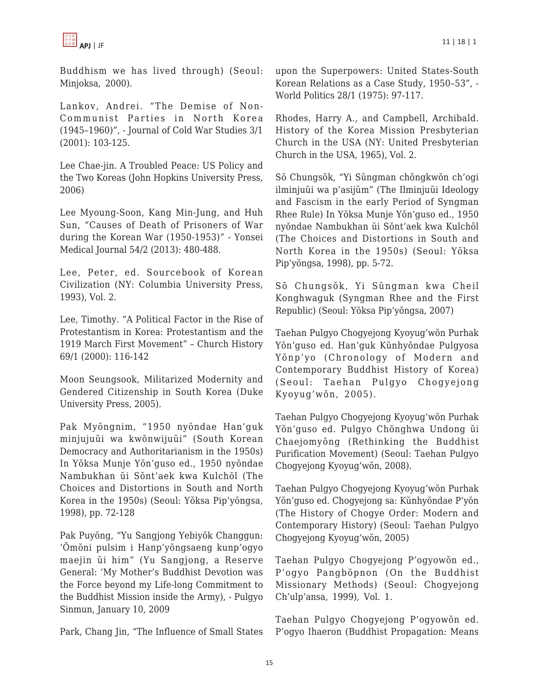

Buddhism we has lived through) (Seoul: Minjoksa, 2000).

Lankov, Andrei. "The Demise of Non-Communist Parties in North Korea (1945–1960)", - Journal of Cold War Studies 3/1 (2001): 103-125.

Lee Chae-jin. A Troubled Peace: US Policy and the Two Koreas (John Hopkins University Press, 2006)

Lee Myoung-Soon, Kang Min-Jung, and Huh Sun, "Causes of Death of Prisoners of War during the Korean War (1950-1953)" - Yonsei Medical Journal 54/2 (2013): 480-488.

Lee, Peter, ed. Sourcebook of Korean Civilization (NY: Columbia University Press, 1993), Vol. 2.

Lee, Timothy. "A Political Factor in the Rise of Protestantism in Korea: Protestantism and the 1919 March First Movement" – Church History 69/1 (2000): 116-142

Moon Seungsook, Militarized Modernity and Gendered Citizenship in South Korea (Duke University Press, 2005).

Pak Myŏngnim, "1950 nyŏndae Han'guk minjujuŭi wa kwŏnwijuŭi" (South Korean Democracy and Authoritarianism in the 1950s) In Yŏksa Munje Yŏn'guso ed., 1950 nyŏndae Nambukhan ŭi Sŏnt'aek kwa Kulchŏl (The Choices and Distortions in South and North Korea in the 1950s) (Seoul: Yŏksa Pip'yŏngsa, 1998), pp. 72-128

Pak Puyŏng, "Yu Sangjong Yebiyŏk Changgun: 'Ŏmŏni pulsim i Hanp'yŏngsaeng kunp'ogyo maejin ŭi him" (Yu Sangjong, a Reserve General: 'My Mother's Buddhist Devotion was the Force beyond my Life-long Commitment to the Buddhist Mission inside the Army), - Pulgyo Sinmun, January 10, 2009

Park, Chang Jin, "The Influence of Small States

upon the Superpowers: United States-South Korean Relations as a Case Study, 1950–53", - World Politics 28/1 (1975): 97-117.

Rhodes, Harry A., and Campbell, Archibald. History of the Korea Mission Presbyterian Church in the USA (NY: United Presbyterian Church in the USA, 1965), Vol. 2.

Sŏ Chungsŏk, "Yi Sŭngman chŏngkwŏn ch'ogi ilminjuŭi wa p'asijŭm" (The Ilminjuŭi Ideology and Fascism in the early Period of Syngman Rhee Rule) In Yŏksa Munje Yŏn'guso ed., 1950 nyŏndae Nambukhan ŭi Sŏnt'aek kwa Kulchŏl (The Choices and Distortions in South and North Korea in the 1950s) (Seoul: Yŏksa Pip'yŏngsa, 1998), pp. 5-72.

Sŏ Chungsŏk, Yi Sŭngman kwa Cheil Konghwaguk (Syngman Rhee and the First Republic) (Seoul: Yŏksa Pip'yŏngsa, 2007)

Taehan Pulgyo Chogyejong Kyoyug'wŏn Purhak Yŏn'guso ed. Han'guk Kŭnhyŏndae Pulgyosa Yŏnp'yo (Chronology of Modern and Contemporary Buddhist History of Korea) (Seoul: Taehan Pulgyo Chogyejong Kyoyug'wŏn, 2005).

Taehan Pulgyo Chogyejong Kyoyug'wŏn Purhak Yŏn'guso ed. Pulgyo Chŏnghwa Undong ŭi Chaejomyŏng (Rethinking the Buddhist Purification Movement) (Seoul: Taehan Pulgyo Chogyejong Kyoyug'wŏn, 2008).

Taehan Pulgyo Chogyejong Kyoyug'wŏn Purhak Yŏn'guso ed. Chogyejong sa: Kŭnhyŏndae P'yŏn (The History of Chogye Order: Modern and Contemporary History) (Seoul: Taehan Pulgyo Chogyejong Kyoyug'wŏn, 2005)

Taehan Pulgyo Chogyejong P'ogyowŏn ed., P'ogyo Pangbŏpnon (On the Buddhist Missionary Methods) (Seoul: Chogyejong Ch'ulp'ansa, 1999), Vol. 1.

Taehan Pulgyo Chogyejong P'ogyowŏn ed. P'ogyo Ihaeron (Buddhist Propagation: Means